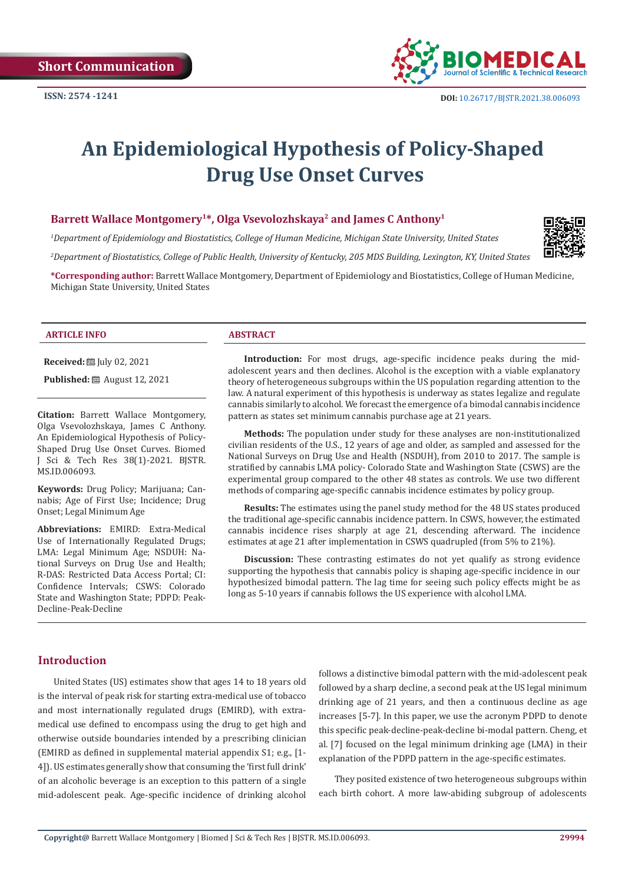

# **An Epidemiological Hypothesis of Policy-Shaped Drug Use Onset Curves**

# Barrett Wallace Montgomery<sup>1\*</sup>, Olga Vsevolozhskaya<sup>2</sup> and James C Anthony<sup>1</sup>

*1 Department of Epidemiology and Biostatistics, College of Human Medicine, Michigan State University, United States* 

*2 Department of Biostatistics, College of Public Health, University of Kentucky, 205 MDS Building, Lexington, KY, United States*

**\*Corresponding author:** Barrett Wallace Montgomery, Department of Epidemiology and Biostatistics, College of Human Medicine, Michigan State University, United States

#### **ARTICLE INFO ABSTRACT**

**Received:** July 02, 2021

**Published:** ■ August 12, 2021

**Citation:** Barrett Wallace Montgomery, Olga Vsevolozhskaya, James C Anthony. An Epidemiological Hypothesis of Policy-Shaped Drug Use Onset Curves. Biomed J Sci & Tech Res 38(1)-2021. BJSTR. MS.ID.006093.

**Keywords:** Drug Policy; Marijuana; Cannabis; Age of First Use; Incidence; Drug Onset; Legal Minimum Age

**Abbreviations:** EMIRD: Extra-Medical Use of Internationally Regulated Drugs; LMA: Legal Minimum Age; NSDUH: National Surveys on Drug Use and Health; R-DAS: Restricted Data Access Portal; CI: Confidence Intervals; CSWS: Colorado State and Washington State; PDPD: Peak-Decline-Peak-Decline

Introduction: For most drugs, age-specific incidence peaks during the midadolescent years and then declines. Alcohol is the exception with a viable explanatory theory of heterogeneous subgroups within the US population regarding attention to the law. A natural experiment of this hypothesis is underway as states legalize and regulate cannabis similarly to alcohol. We forecast the emergence of a bimodal cannabis incidence pattern as states set minimum cannabis purchase age at 21 years.

**Methods:** The population under study for these analyses are non-institutionalized civilian residents of the U.S., 12 years of age and older, as sampled and assessed for the National Surveys on Drug Use and Health (NSDUH), from 2010 to 2017. The sample is stratified by cannabis LMA policy- Colorado State and Washington State (CSWS) are the experimental group compared to the other 48 states as controls. We use two different methods of comparing age-specific cannabis incidence estimates by policy group.

**Results:** The estimates using the panel study method for the 48 US states produced the traditional age-specific cannabis incidence pattern. In CSWS, however, the estimated cannabis incidence rises sharply at age 21, descending afterward. The incidence estimates at age 21 after implementation in CSWS quadrupled (from 5% to 21%).

**Discussion:** These contrasting estimates do not yet qualify as strong evidence supporting the hypothesis that cannabis policy is shaping age-specific incidence in our hypothesized bimodal pattern. The lag time for seeing such policy effects might be as long as 5-10 years if cannabis follows the US experience with alcohol LMA.

# **Introduction**

United States (US) estimates show that ages 14 to 18 years old is the interval of peak risk for starting extra-medical use of tobacco and most internationally regulated drugs (EMIRD), with extramedical use defined to encompass using the drug to get high and otherwise outside boundaries intended by a prescribing clinician (EMIRD as defined in supplemental material appendix S1; e.g., [1- 4]). US estimates generally show that consuming the 'first full drink' of an alcoholic beverage is an exception to this pattern of a single mid-adolescent peak. Age-specific incidence of drinking alcohol follows a distinctive bimodal pattern with the mid-adolescent peak followed by a sharp decline, a second peak at the US legal minimum drinking age of 21 years, and then a continuous decline as age increases [5-7]. In this paper, we use the acronym PDPD to denote this specific peak-decline-peak-decline bi-modal pattern. Cheng, et al. [7] focused on the legal minimum drinking age (LMA) in their explanation of the PDPD pattern in the age-specific estimates.

They posited existence of two heterogeneous subgroups within each birth cohort. A more law-abiding subgroup of adolescents

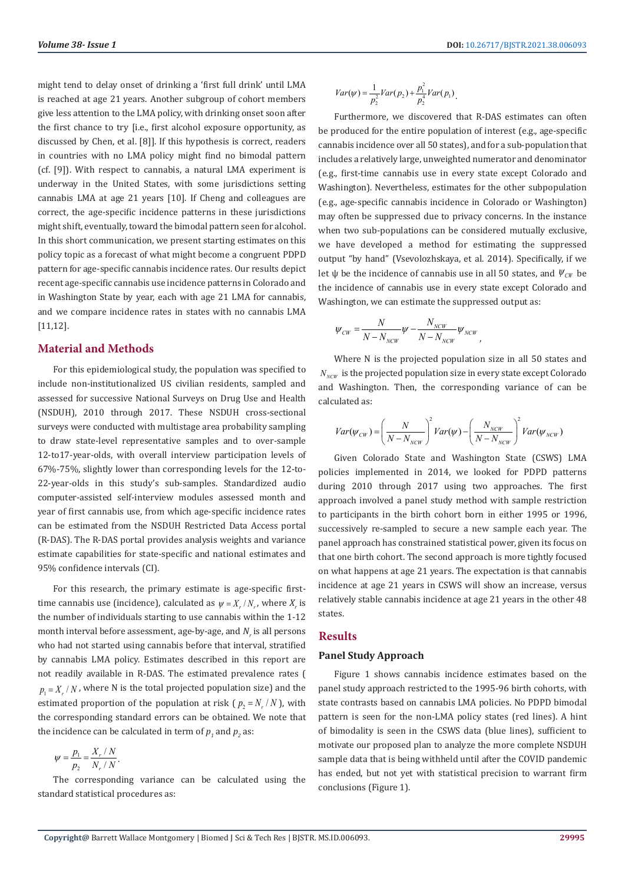might tend to delay onset of drinking a 'first full drink' until LMA is reached at age 21 years. Another subgroup of cohort members give less attention to the LMA policy, with drinking onset soon after the first chance to try [i.e., first alcohol exposure opportunity, as discussed by Chen, et al. [8]]. If this hypothesis is correct, readers in countries with no LMA policy might find no bimodal pattern (cf. [9]). With respect to cannabis, a natural LMA experiment is underway in the United States, with some jurisdictions setting cannabis LMA at age 21 years [10]. If Cheng and colleagues are correct, the age-specific incidence patterns in these jurisdictions might shift, eventually, toward the bimodal pattern seen for alcohol. In this short communication, we present starting estimates on this policy topic as a forecast of what might become a congruent PDPD pattern for age-specific cannabis incidence rates. Our results depict recent age-specific cannabis use incidence patterns in Colorado and in Washington State by year, each with age 21 LMA for cannabis, and we compare incidence rates in states with no cannabis LMA [11,12].

## **Material and Methods**

For this epidemiological study, the population was specified to include non-institutionalized US civilian residents, sampled and assessed for successive National Surveys on Drug Use and Health (NSDUH), 2010 through 2017. These NSDUH cross-sectional surveys were conducted with multistage area probability sampling to draw state-level representative samples and to over-sample 12-to17-year-olds, with overall interview participation levels of 67%-75%, slightly lower than corresponding levels for the 12-to-22-year-olds in this study's sub-samples. Standardized audio computer-assisted self-interview modules assessed month and year of first cannabis use, from which age-specific incidence rates can be estimated from the NSDUH Restricted Data Access portal (R-DAS). The R-DAS portal provides analysis weights and variance estimate capabilities for state-specific and national estimates and 95% confidence intervals (CI).

For this research, the primary estimate is age-specific firsttime cannabis use (incidence), calculated as  $\psi = X_r / N_r$ , where  $X_r$  is the number of individuals starting to use cannabis within the 1-12 month interval before assessment, age-by-age, and  $N_r$  is all persons who had not started using cannabis before that interval, stratified by cannabis LMA policy. Estimates described in this report are not readily available in R-DAS. The estimated prevalence rates (  $p_1 = X / N$ , where N is the total projected population size) and the estimated proportion of the population at risk ( $p_2 = N_r/N$ ), with the corresponding standard errors can be obtained. We note that the incidence can be calculated in term of  $p_1$  and  $p_2$  as:

$$
\psi = \frac{p_1}{p_2} = \frac{X_r / N}{N_r / N}.
$$

The corresponding variance can be calculated using the standard statistical procedures as:

$$
Var(\psi) = \frac{1}{p_2^2} Var(p_2) + \frac{p_1^2}{p_2^4} Var(p_1).
$$

Furthermore, we discovered that R-DAS estimates can often be produced for the entire population of interest (e.g., age-specific cannabis incidence over all 50 states), and for a sub-population that includes a relatively large, unweighted numerator and denominator (e.g., first-time cannabis use in every state except Colorado and Washington). Nevertheless, estimates for the other subpopulation (e.g., age-specific cannabis incidence in Colorado or Washington) may often be suppressed due to privacy concerns. In the instance when two sub-populations can be considered mutually exclusive, we have developed a method for estimating the suppressed output "by hand" (Vsevolozhskaya, et al. 2014). Specifically, if we let  $\psi$  be the incidence of cannabis use in all 50 states, and  $\psi_{\text{CW}}$  be the incidence of cannabis use in every state except Colorado and Washington, we can estimate the suppressed output as:

$$
\psi_{CW} = \frac{N}{N - N_{\text{NCW}}} \psi - \frac{N_{\text{NCW}}}{N - N_{\text{NCW}}} \psi_{\text{NCW}},
$$

Where N is the projected population size in all 50 states and  $N_{N\text{CW}}$  is the projected population size in every state except Colorado and Washington. Then, the corresponding variance of can be calculated as:

$$
Var(\psi_{CW}) = \left(\frac{N}{N - N_{NCW}}\right)^2 Var(\psi) - \left(\frac{N_{NCW}}{N - N_{NCW}}\right)^2 Var(\psi_{NCW})
$$

Given Colorado State and Washington State (CSWS) LMA policies implemented in 2014, we looked for PDPD patterns during 2010 through 2017 using two approaches. The first approach involved a panel study method with sample restriction to participants in the birth cohort born in either 1995 or 1996, successively re-sampled to secure a new sample each year. The panel approach has constrained statistical power, given its focus on that one birth cohort. The second approach is more tightly focused on what happens at age 21 years. The expectation is that cannabis incidence at age 21 years in CSWS will show an increase, versus relatively stable cannabis incidence at age 21 years in the other 48 states.

#### **Results**

#### **Panel Study Approach**

Figure 1 shows cannabis incidence estimates based on the panel study approach restricted to the 1995-96 birth cohorts, with state contrasts based on cannabis LMA policies. No PDPD bimodal pattern is seen for the non-LMA policy states (red lines). A hint of bimodality is seen in the CSWS data (blue lines), sufficient to motivate our proposed plan to analyze the more complete NSDUH sample data that is being withheld until after the COVID pandemic has ended, but not yet with statistical precision to warrant firm conclusions (Figure 1).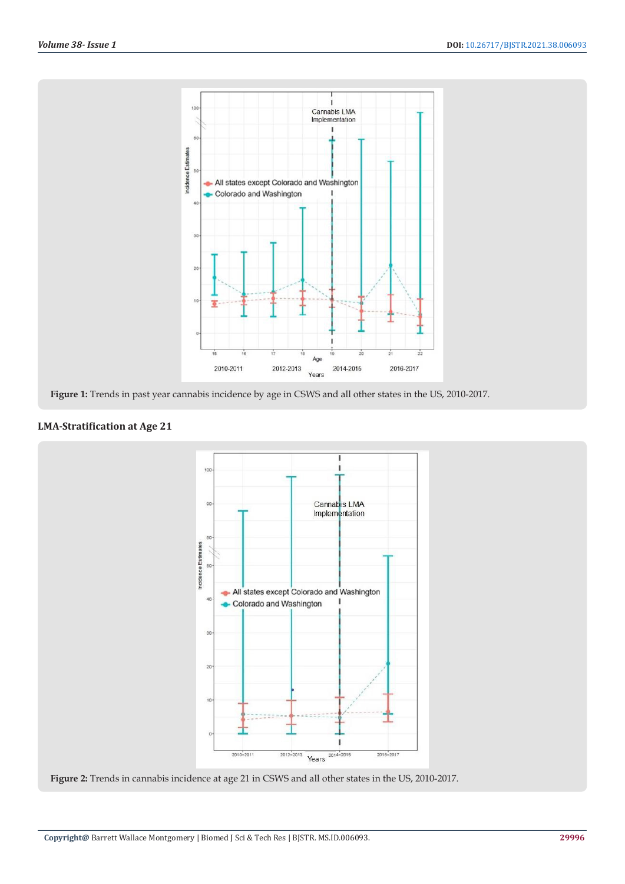

**Figure 1:** Trends in past year cannabis incidence by age in CSWS and all other states in the US, 2010-2017.

# **LMA-Stratification at Age 21**



**Figure 2:** Trends in cannabis incidence at age 21 in CSWS and all other states in the US, 2010-2017.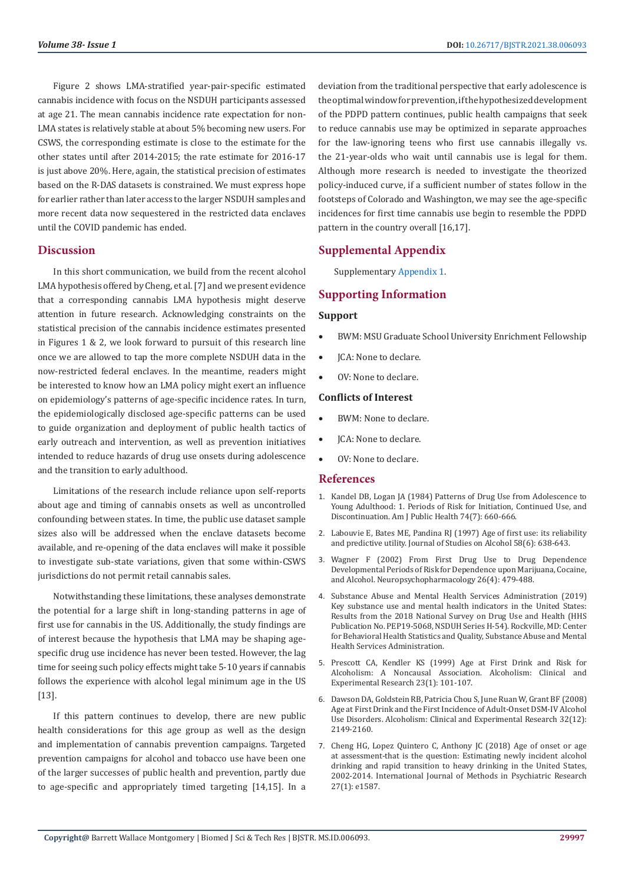Figure 2 shows LMA-stratified year-pair-specific estimated cannabis incidence with focus on the NSDUH participants assessed at age 21. The mean cannabis incidence rate expectation for non-LMA states is relatively stable at about 5% becoming new users. For CSWS, the corresponding estimate is close to the estimate for the other states until after 2014-2015; the rate estimate for 2016-17 is just above 20%. Here, again, the statistical precision of estimates based on the R-DAS datasets is constrained. We must express hope for earlier rather than later access to the larger NSDUH samples and more recent data now sequestered in the restricted data enclaves until the COVID pandemic has ended.

## **Discussion**

In this short communication, we build from the recent alcohol LMA hypothesis offered by Cheng, et al. [7] and we present evidence that a corresponding cannabis LMA hypothesis might deserve attention in future research. Acknowledging constraints on the statistical precision of the cannabis incidence estimates presented in Figures 1 & 2, we look forward to pursuit of this research line once we are allowed to tap the more complete NSDUH data in the now-restricted federal enclaves. In the meantime, readers might be interested to know how an LMA policy might exert an influence on epidemiology's patterns of age-specific incidence rates. In turn, the epidemiologically disclosed age-specific patterns can be used to guide organization and deployment of public health tactics of early outreach and intervention, as well as prevention initiatives intended to reduce hazards of drug use onsets during adolescence and the transition to early adulthood.

Limitations of the research include reliance upon self-reports about age and timing of cannabis onsets as well as uncontrolled confounding between states. In time, the public use dataset sample sizes also will be addressed when the enclave datasets become available, and re-opening of the data enclaves will make it possible to investigate sub-state variations, given that some within-CSWS jurisdictions do not permit retail cannabis sales.

Notwithstanding these limitations, these analyses demonstrate the potential for a large shift in long-standing patterns in age of first use for cannabis in the US. Additionally, the study findings are of interest because the hypothesis that LMA may be shaping agespecific drug use incidence has never been tested. However, the lag time for seeing such policy effects might take 5-10 years if cannabis follows the experience with alcohol legal minimum age in the US [13].

If this pattern continues to develop, there are new public health considerations for this age group as well as the design and implementation of cannabis prevention campaigns. Targeted prevention campaigns for alcohol and tobacco use have been one of the larger successes of public health and prevention, partly due to age-specific and appropriately timed targeting [14,15]. In a deviation from the traditional perspective that early adolescence is the optimal window for prevention, if the hypothesized development of the PDPD pattern continues, public health campaigns that seek to reduce cannabis use may be optimized in separate approaches for the law-ignoring teens who first use cannabis illegally vs. the 21-year-olds who wait until cannabis use is legal for them. Although more research is needed to investigate the theorized policy-induced curve, if a sufficient number of states follow in the footsteps of Colorado and Washington, we may see the age-specific incidences for first time cannabis use begin to resemble the PDPD pattern in the country overall [16,17].

# **Supplemental Appendix**

Supplementary [Appendix 1](https://biomedres.us/pdfs/BJSTR.MS.ID.006093-Appendix.pdf).

## **Supporting Information**

# **Support**

- BWM: MSU Graduate School University Enrichment Fellowship
- ICA: None to declare.
- OV: None to declare.

#### **Conflicts of Interest**

- BWM: None to declare.
- JCA: None to declare.
- OV: None to declare.

#### **References**

- 1. [Kandel DB, Logan JA \(1984\) Patterns of Drug Use from Adolescence to](https://www.ncbi.nlm.nih.gov/pmc/articles/PMC1651682/) [Young Adulthood: 1. Periods of Risk for Initiation, Continued Use, and](https://www.ncbi.nlm.nih.gov/pmc/articles/PMC1651682/) [Discontinuation. Am J Public Health 74\(7\): 660-666.](https://www.ncbi.nlm.nih.gov/pmc/articles/PMC1651682/)
- 2. [Labouvie E, Bates ME, Pandina RJ \(1997\) Age of first use: its reliability](https://pubmed.ncbi.nlm.nih.gov/9391924/) [and predictive utility. Journal of Studies on Alcohol 58\(6\): 638-643.](https://pubmed.ncbi.nlm.nih.gov/9391924/)
- 3. [Wagner F \(2002\) From First Drug Use to Drug Dependence](https://pubmed.ncbi.nlm.nih.gov/11927172/) [Developmental Periods of Risk for Dependence upon Marijuana, Cocaine,](https://pubmed.ncbi.nlm.nih.gov/11927172/) [and Alcohol. Neuropsychopharmacology 26\(4\): 479-488.](https://pubmed.ncbi.nlm.nih.gov/11927172/)
- 4. [Substance Abuse and Mental Health Services Administration \(2019\)](https://www.samhsa.gov/data/) [Key substance use and mental health indicators in the United States:](https://www.samhsa.gov/data/) [Results from the 2018 National Survey on Drug Use and Health \(HHS](https://www.samhsa.gov/data/) [Publication No. PEP19-5068, NSDUH Series H-54\). Rockville, MD: Center](https://www.samhsa.gov/data/) [for Behavioral Health Statistics and Quality, Substance Abuse and Mental](https://www.samhsa.gov/data/) [Health Services Administration.](https://www.samhsa.gov/data/)
- 5. [Prescott CA, Kendler KS \(1999\) Age at First Drink and Risk for](https://pubmed.ncbi.nlm.nih.gov/10029209/) [Alcoholism: A Noncausal Association. Alcoholism: Clinical and](https://pubmed.ncbi.nlm.nih.gov/10029209/) [Experimental Research 23\(1\): 101-107.](https://pubmed.ncbi.nlm.nih.gov/10029209/)
- 6. [Dawson DA, Goldstein RB, Patricia Chou S, June Ruan W, Grant BF \(2008\)](https://pubmed.ncbi.nlm.nih.gov/18828796/) [Age at First Drink and the First Incidence of Adult-Onset DSM-IV Alcohol](https://pubmed.ncbi.nlm.nih.gov/18828796/) [Use Disorders. Alcoholism: Clinical and Experimental Research 32\(12\):](https://pubmed.ncbi.nlm.nih.gov/18828796/) [2149-2160.](https://pubmed.ncbi.nlm.nih.gov/18828796/)
- 7. [Cheng HG, Lopez Quintero C, Anthony JC \(2018\) Age of onset or age](https://pubmed.ncbi.nlm.nih.gov/29034527/) [at assessment-that is the question: Estimating newly incident alcohol](https://pubmed.ncbi.nlm.nih.gov/29034527/) [drinking and rapid transition to heavy drinking in the United States,](https://pubmed.ncbi.nlm.nih.gov/29034527/) [2002-2014. International Journal of Methods in Psychiatric Research](https://pubmed.ncbi.nlm.nih.gov/29034527/) [27\(1\): e1587.](https://pubmed.ncbi.nlm.nih.gov/29034527/)